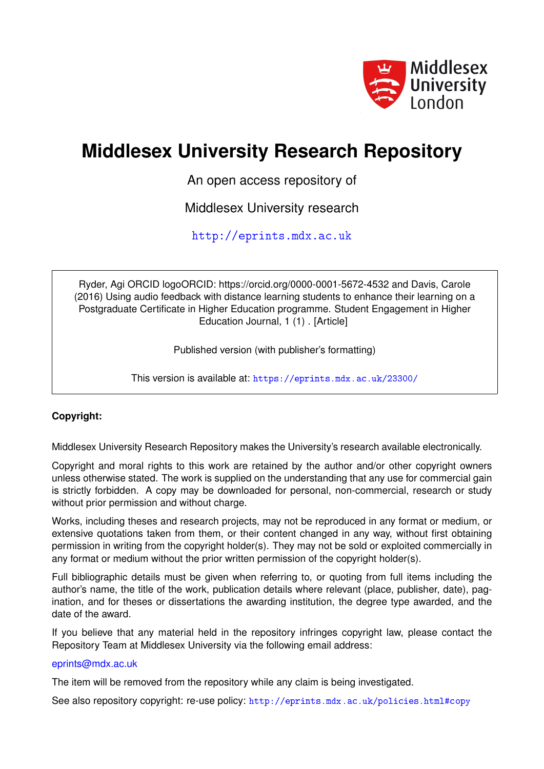

# **Middlesex University Research Repository**

An open access repository of

Middlesex University research

<http://eprints.mdx.ac.uk>

Ryder, Agi ORCID logoORCID: https://orcid.org/0000-0001-5672-4532 and Davis, Carole (2016) Using audio feedback with distance learning students to enhance their learning on a Postgraduate Certificate in Higher Education programme. Student Engagement in Higher Education Journal, 1 (1) . [Article]

Published version (with publisher's formatting)

This version is available at: <https://eprints.mdx.ac.uk/23300/>

## **Copyright:**

Middlesex University Research Repository makes the University's research available electronically.

Copyright and moral rights to this work are retained by the author and/or other copyright owners unless otherwise stated. The work is supplied on the understanding that any use for commercial gain is strictly forbidden. A copy may be downloaded for personal, non-commercial, research or study without prior permission and without charge.

Works, including theses and research projects, may not be reproduced in any format or medium, or extensive quotations taken from them, or their content changed in any way, without first obtaining permission in writing from the copyright holder(s). They may not be sold or exploited commercially in any format or medium without the prior written permission of the copyright holder(s).

Full bibliographic details must be given when referring to, or quoting from full items including the author's name, the title of the work, publication details where relevant (place, publisher, date), pagination, and for theses or dissertations the awarding institution, the degree type awarded, and the date of the award.

If you believe that any material held in the repository infringes copyright law, please contact the Repository Team at Middlesex University via the following email address:

#### [eprints@mdx.ac.uk](mailto:eprints@mdx.ac.uk)

The item will be removed from the repository while any claim is being investigated.

See also repository copyright: re-use policy: <http://eprints.mdx.ac.uk/policies.html#copy>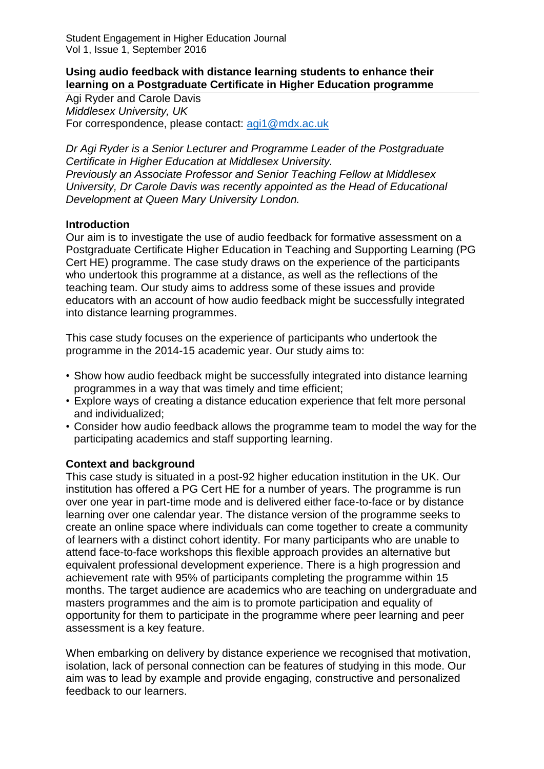#### **Using audio feedback with distance learning students to enhance their learning on a Postgraduate Certificate in Higher Education programme**

Agi Ryder and Carole Davis *Middlesex University, UK*  For correspondence, please contact: [agi1@mdx.ac.uk](mailto:agi1@mdx.ac.uk) 

*Dr Agi Ryder is a Senior Lecturer and Programme Leader of the Postgraduate Certificate in Higher Education at Middlesex University. Previously an Associate Professor and Senior Teaching Fellow at Middlesex University, Dr Carole Davis was recently appointed as the Head of Educational Development at Queen Mary University London.* 

## **Introduction**

Our aim is to investigate the use of audio feedback for formative assessment on a Postgraduate Certificate Higher Education in Teaching and Supporting Learning (PG Cert HE) programme. The case study draws on the experience of the participants who undertook this programme at a distance, as well as the reflections of the teaching team. Our study aims to address some of these issues and provide educators with an account of how audio feedback might be successfully integrated into distance learning programmes.

This case study focuses on the experience of participants who undertook the programme in the 2014-15 academic year. Our study aims to:

- Show how audio feedback might be successfully integrated into distance learning programmes in a way that was timely and time efficient;
- Explore ways of creating a distance education experience that felt more personal and individualized;
- Consider how audio feedback allows the programme team to model the way for the participating academics and staff supporting learning.

# **Context and background**

This case study is situated in a post-92 higher education institution in the UK. Our institution has offered a PG Cert HE for a number of years. The programme is run over one year in part-time mode and is delivered either face-to-face or by distance learning over one calendar year. The distance version of the programme seeks to create an online space where individuals can come together to create a community of learners with a distinct cohort identity. For many participants who are unable to attend face-to-face workshops this flexible approach provides an alternative but equivalent professional development experience. There is a high progression and achievement rate with 95% of participants completing the programme within 15 months. The target audience are academics who are teaching on undergraduate and masters programmes and the aim is to promote participation and equality of opportunity for them to participate in the programme where peer learning and peer assessment is a key feature.

When embarking on delivery by distance experience we recognised that motivation, isolation, lack of personal connection can be features of studying in this mode. Our aim was to lead by example and provide engaging, constructive and personalized feedback to our learners.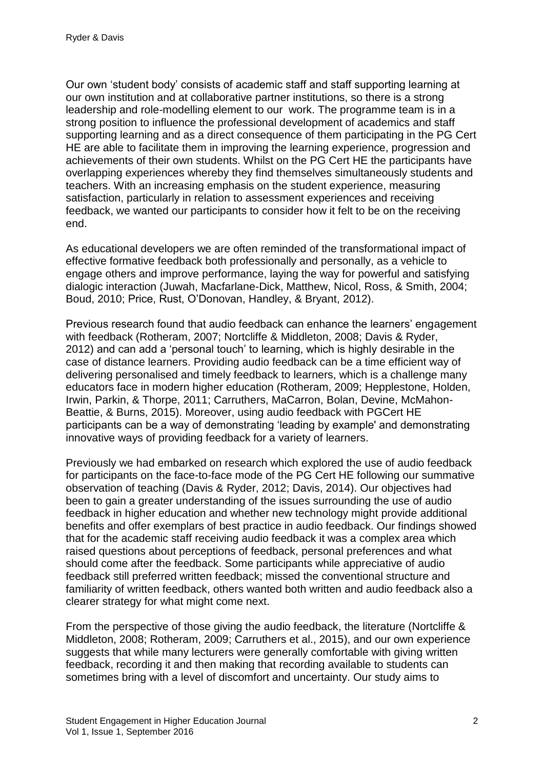Our own 'student body' consists of academic staff and staff supporting learning at our own institution and at collaborative partner institutions, so there is a strong leadership and role-modelling element to our work. The programme team is in a strong position to influence the professional development of academics and staff supporting learning and as a direct consequence of them participating in the PG Cert HE are able to facilitate them in improving the learning experience, progression and achievements of their own students. Whilst on the PG Cert HE the participants have overlapping experiences whereby they find themselves simultaneously students and teachers. With an increasing emphasis on the student experience, measuring satisfaction, particularly in relation to assessment experiences and receiving feedback, we wanted our participants to consider how it felt to be on the receiving end.

As educational developers we are often reminded of the transformational impact of effective formative feedback both professionally and personally, as a vehicle to engage others and improve performance, laying the way for powerful and satisfying dialogic interaction (Juwah, Macfarlane-Dick, Matthew, Nicol, Ross, & Smith, 2004; Boud, 2010; Price, Rust, O'Donovan, Handley, & Bryant, 2012).

Previous research found that audio feedback can enhance the learners' engagement with feedback (Rotheram, 2007; Nortcliffe & Middleton, 2008; Davis & Ryder, 2012) and can add a 'personal touch' to learning, which is highly desirable in the case of distance learners. Providing audio feedback can be a time efficient way of delivering personalised and timely feedback to learners, which is a challenge many educators face in modern higher education (Rotheram, 2009; Hepplestone, Holden, Irwin, Parkin, & Thorpe, 2011; Carruthers, MaCarron, Bolan, Devine, McMahon-Beattie, & Burns, 2015). Moreover, using audio feedback with PGCert HE participants can be a way of demonstrating 'leading by example' and demonstrating innovative ways of providing feedback for a variety of learners.

Previously we had embarked on research which explored the use of audio feedback for participants on the face-to-face mode of the PG Cert HE following our summative observation of teaching (Davis & Ryder, 2012; Davis, 2014). Our objectives had been to gain a greater understanding of the issues surrounding the use of audio feedback in higher education and whether new technology might provide additional benefits and offer exemplars of best practice in audio feedback. Our findings showed that for the academic staff receiving audio feedback it was a complex area which raised questions about perceptions of feedback, personal preferences and what should come after the feedback. Some participants while appreciative of audio feedback still preferred written feedback; missed the conventional structure and familiarity of written feedback, others wanted both written and audio feedback also a clearer strategy for what might come next.

From the perspective of those giving the audio feedback, the literature (Nortcliffe & Middleton, 2008; Rotheram, 2009; Carruthers et al., 2015), and our own experience suggests that while many lecturers were generally comfortable with giving written feedback, recording it and then making that recording available to students can sometimes bring with a level of discomfort and uncertainty. Our study aims to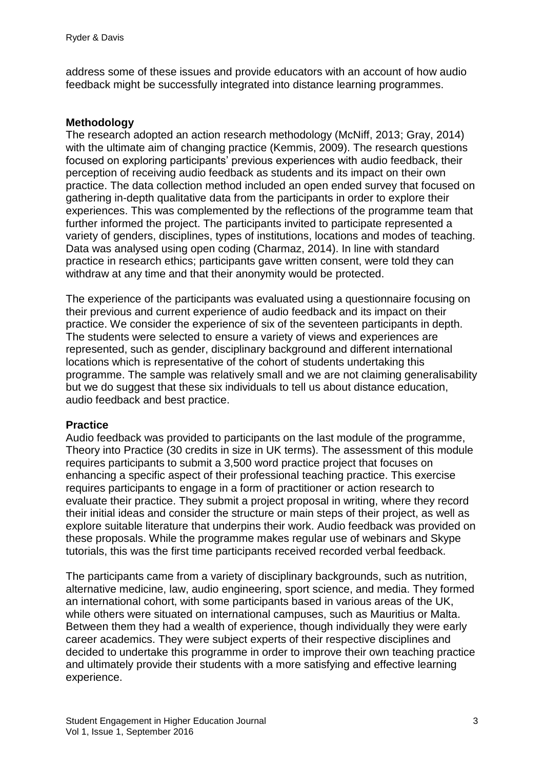address some of these issues and provide educators with an account of how audio feedback might be successfully integrated into distance learning programmes.

#### **Methodology**

The research adopted an action research methodology (McNiff, 2013; Gray, 2014) with the ultimate aim of changing practice (Kemmis, 2009). The research questions focused on exploring participants' previous experiences with audio feedback, their perception of receiving audio feedback as students and its impact on their own practice. The data collection method included an open ended survey that focused on gathering in-depth qualitative data from the participants in order to explore their experiences. This was complemented by the reflections of the programme team that further informed the project. The participants invited to participate represented a variety of genders, disciplines, types of institutions, locations and modes of teaching. Data was analysed using open coding (Charmaz, 2014). In line with standard practice in research ethics; participants gave written consent, were told they can withdraw at any time and that their anonymity would be protected.

The experience of the participants was evaluated using a questionnaire focusing on their previous and current experience of audio feedback and its impact on their practice. We consider the experience of six of the seventeen participants in depth. The students were selected to ensure a variety of views and experiences are represented, such as gender, disciplinary background and different international locations which is representative of the cohort of students undertaking this programme. The sample was relatively small and we are not claiming generalisability but we do suggest that these six individuals to tell us about distance education, audio feedback and best practice.

#### **Practice**

Audio feedback was provided to participants on the last module of the programme, Theory into Practice (30 credits in size in UK terms). The assessment of this module requires participants to submit a 3,500 word practice project that focuses on enhancing a specific aspect of their professional teaching practice. This exercise requires participants to engage in a form of practitioner or action research to evaluate their practice. They submit a project proposal in writing, where they record their initial ideas and consider the structure or main steps of their project, as well as explore suitable literature that underpins their work. Audio feedback was provided on these proposals. While the programme makes regular use of webinars and Skype tutorials, this was the first time participants received recorded verbal feedback.

The participants came from a variety of disciplinary backgrounds, such as nutrition, alternative medicine, law, audio engineering, sport science, and media. They formed an international cohort, with some participants based in various areas of the UK, while others were situated on international campuses, such as Mauritius or Malta. Between them they had a wealth of experience, though individually they were early career academics. They were subject experts of their respective disciplines and decided to undertake this programme in order to improve their own teaching practice and ultimately provide their students with a more satisfying and effective learning experience.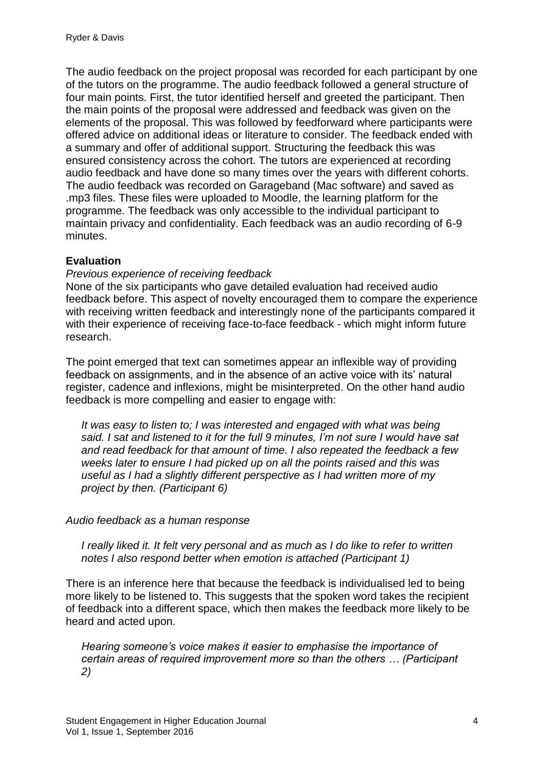The audio feedback on the project proposal was recorded for each participant by one of the tutors on the programme. The audio feedback followed a general structure of four main points. First, the tutor identified herself and greeted the participant. Then the main points of the proposal were addressed and feedback was given on the elements of the proposal. This was followed by feedforward where participants were offered advice on additional ideas or literature to consider. The feedback ended with a summary and offer of additional support. Structuring the feedback this was ensured consistency across the cohort. The tutors are experienced at recording audio feedback and have done so many times over the years with different cohorts. The audio feedback was recorded on Garageband (Mac software) and saved as .mp3 files. These files were uploaded to Moodle, the learning platform for the programme. The feedback was only accessible to the individual participant to maintain privacy and confidentiality. Each feedback was an audio recording of 6-9 minutes.

# **Evaluation**

## *Previous experience of receiving feedback*

None of the six participants who gave detailed evaluation had received audio feedback before. This aspect of novelty encouraged them to compare the experience with receiving written feedback and interestingly none of the participants compared it with their experience of receiving face-to-face feedback - which might inform future research.

The point emerged that text can sometimes appear an inflexible way of providing feedback on assignments, and in the absence of an active voice with its' natural register, cadence and inflexions, might be misinterpreted. On the other hand audio feedback is more compelling and easier to engage with:

*It was easy to listen to; I was interested and engaged with what was being said. I sat and listened to it for the full 9 minutes, I'm not sure I would have sat and read feedback for that amount of time. I also repeated the feedback a few weeks later to ensure I had picked up on all the points raised and this was useful as I had a slightly different perspective as I had written more of my project by then. (Participant 6)* 

## *Audio feedback as a human response*

*I really liked it. It felt very personal and as much as I do like to refer to written notes I also respond better when emotion is attached (Participant 1)*

There is an inference here that because the feedback is individualised led to being more likely to be listened to. This suggests that the spoken word takes the recipient of feedback into a different space, which then makes the feedback more likely to be heard and acted upon.

*Hearing someone's voice makes it easier to emphasise the importance of certain areas of required improvement more so than the others … (Participant 2)*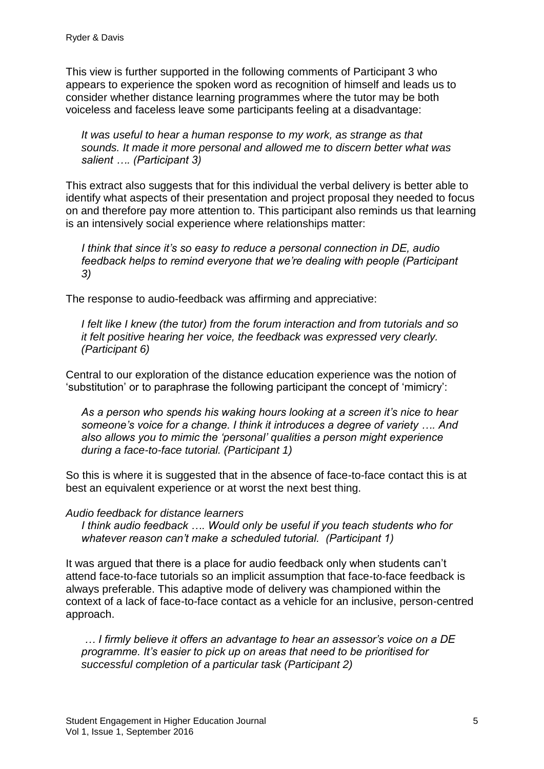This view is further supported in the following comments of Participant 3 who appears to experience the spoken word as recognition of himself and leads us to consider whether distance learning programmes where the tutor may be both voiceless and faceless leave some participants feeling at a disadvantage:

*It was useful to hear a human response to my work, as strange as that sounds. It made it more personal and allowed me to discern better what was salient …. (Participant 3)* 

This extract also suggests that for this individual the verbal delivery is better able to identify what aspects of their presentation and project proposal they needed to focus on and therefore pay more attention to. This participant also reminds us that learning is an intensively social experience where relationships matter:

*I think that since it's so easy to reduce a personal connection in DE, audio feedback helps to remind everyone that we're dealing with people (Participant 3)* 

The response to audio-feedback was affirming and appreciative:

*I felt like I knew (the tutor) from the forum interaction and from tutorials and so it felt positive hearing her voice, the feedback was expressed very clearly. (Participant 6)* 

Central to our exploration of the distance education experience was the notion of 'substitution' or to paraphrase the following participant the concept of 'mimicry':

*As a person who spends his waking hours looking at a screen it's nice to hear someone's voice for a change. I think it introduces a degree of variety …. And also allows you to mimic the 'personal' qualities a person might experience during a face-to-face tutorial. (Participant 1)* 

So this is where it is suggested that in the absence of face-to-face contact this is at best an equivalent experience or at worst the next best thing.

## *Audio feedback for distance learners*

*I think audio feedback …. Would only be useful if you teach students who for whatever reason can't make a scheduled tutorial. (Participant 1)* 

It was argued that there is a place for audio feedback only when students can't attend face-to-face tutorials so an implicit assumption that face-to-face feedback is always preferable. This adaptive mode of delivery was championed within the context of a lack of face-to-face contact as a vehicle for an inclusive, person-centred approach.

*… I firmly believe it offers an advantage to hear an assessor's voice on a DE programme. It's easier to pick up on areas that need to be prioritised for successful completion of a particular task (Participant 2)*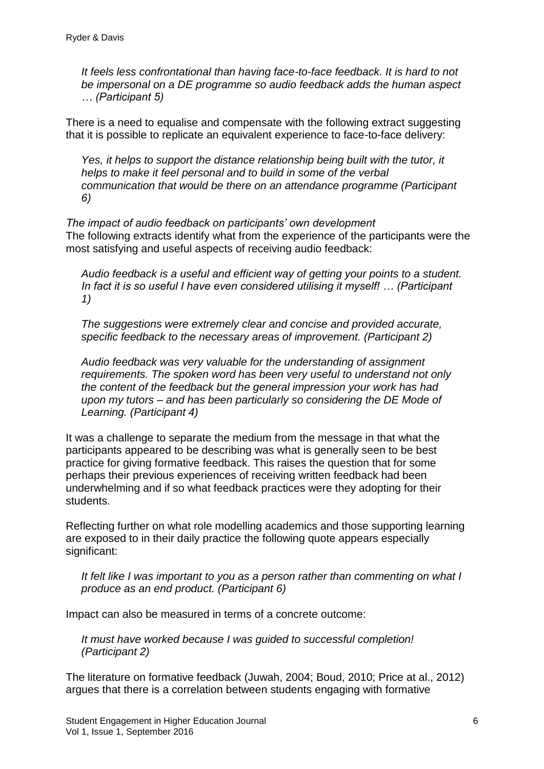*It feels less confrontational than having face-to-face feedback. It is hard to not be impersonal on a DE programme so audio feedback adds the human aspect … (Participant 5)* 

There is a need to equalise and compensate with the following extract suggesting that it is possible to replicate an equivalent experience to face-to-face delivery:

*Yes, it helps to support the distance relationship being built with the tutor, it helps to make it feel personal and to build in some of the verbal communication that would be there on an attendance programme (Participant 6)*

*The impact of audio feedback on participants' own development* The following extracts identify what from the experience of the participants were the most satisfying and useful aspects of receiving audio feedback:

*Audio feedback is a useful and efficient way of getting your points to a student. In fact it is so useful I have even considered utilising it myself! … (Participant 1)*

*The suggestions were extremely clear and concise and provided accurate, specific feedback to the necessary areas of improvement. (Participant 2)*

*Audio feedback was very valuable for the understanding of assignment requirements. The spoken word has been very useful to understand not only the content of the feedback but the general impression your work has had upon my tutors – and has been particularly so considering the DE Mode of Learning. (Participant 4)*

It was a challenge to separate the medium from the message in that what the participants appeared to be describing was what is generally seen to be best practice for giving formative feedback. This raises the question that for some perhaps their previous experiences of receiving written feedback had been underwhelming and if so what feedback practices were they adopting for their students.

Reflecting further on what role modelling academics and those supporting learning are exposed to in their daily practice the following quote appears especially significant:

*It felt like I was important to you as a person rather than commenting on what I produce as an end product. (Participant 6)*

Impact can also be measured in terms of a concrete outcome:

*It must have worked because I was guided to successful completion! (Participant 2)*

The literature on formative feedback (Juwah, 2004; Boud, 2010; Price at al., 2012) argues that there is a correlation between students engaging with formative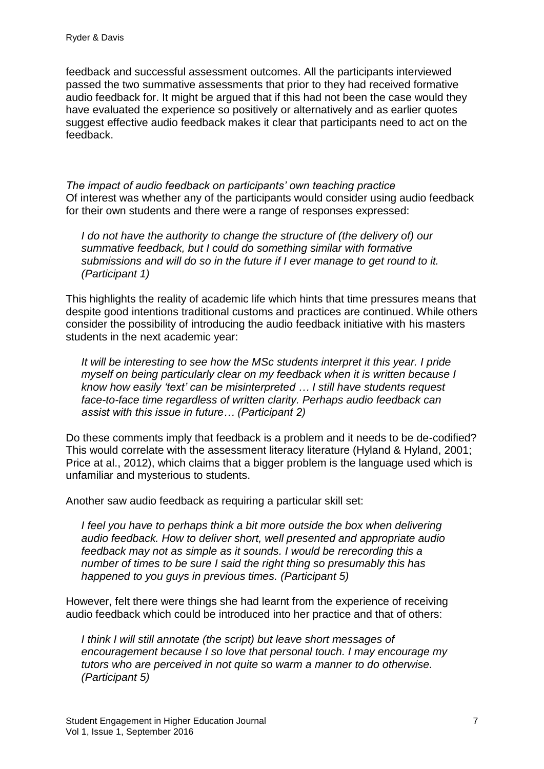feedback and successful assessment outcomes. All the participants interviewed passed the two summative assessments that prior to they had received formative audio feedback for. It might be argued that if this had not been the case would they have evaluated the experience so positively or alternatively and as earlier quotes suggest effective audio feedback makes it clear that participants need to act on the feedback.

*The impact of audio feedback on participants' own teaching practice* Of interest was whether any of the participants would consider using audio feedback for their own students and there were a range of responses expressed:

*I do not have the authority to change the structure of (the delivery of) our summative feedback, but I could do something similar with formative submissions and will do so in the future if I ever manage to get round to it. (Participant 1)*

This highlights the reality of academic life which hints that time pressures means that despite good intentions traditional customs and practices are continued. While others consider the possibility of introducing the audio feedback initiative with his masters students in the next academic year:

*It will be interesting to see how the MSc students interpret it this year. I pride myself on being particularly clear on my feedback when it is written because I know how easily 'text' can be misinterpreted … I still have students request face-to-face time regardless of written clarity. Perhaps audio feedback can assist with this issue in future… (Participant 2)* 

Do these comments imply that feedback is a problem and it needs to be de-codified? This would correlate with the assessment literacy literature (Hyland & Hyland, 2001; Price at al., 2012), which claims that a bigger problem is the language used which is unfamiliar and mysterious to students.

Another saw audio feedback as requiring a particular skill set:

*I* feel you have to perhaps think a bit more outside the box when delivering *audio feedback. How to deliver short, well presented and appropriate audio feedback may not as simple as it sounds. I would be rerecording this a number of times to be sure I said the right thing so presumably this has happened to you guys in previous times. (Participant 5)*

However, felt there were things she had learnt from the experience of receiving audio feedback which could be introduced into her practice and that of others:

*I think I will still annotate (the script) but leave short messages of encouragement because I so love that personal touch. I may encourage my tutors who are perceived in not quite so warm a manner to do otherwise. (Participant 5)*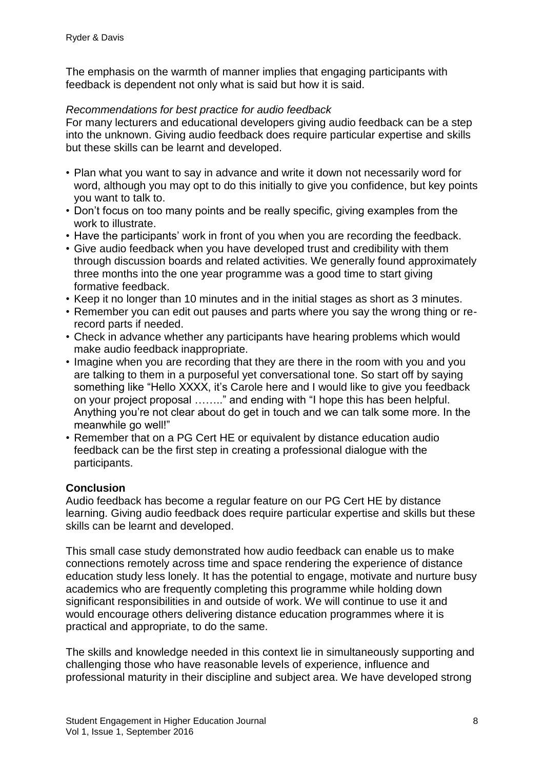The emphasis on the warmth of manner implies that engaging participants with feedback is dependent not only what is said but how it is said.

## *Recommendations for best practice for audio feedback*

For many lecturers and educational developers giving audio feedback can be a step into the unknown. Giving audio feedback does require particular expertise and skills but these skills can be learnt and developed.

- Plan what you want to say in advance and write it down not necessarily word for word, although you may opt to do this initially to give you confidence, but key points you want to talk to.
- Don't focus on too many points and be really specific, giving examples from the work to illustrate.
- Have the participants' work in front of you when you are recording the feedback.
- Give audio feedback when you have developed trust and credibility with them through discussion boards and related activities. We generally found approximately three months into the one year programme was a good time to start giving formative feedback.
- Keep it no longer than 10 minutes and in the initial stages as short as 3 minutes.
- Remember you can edit out pauses and parts where you say the wrong thing or rerecord parts if needed.
- Check in advance whether any participants have hearing problems which would make audio feedback inappropriate.
- Imagine when you are recording that they are there in the room with you and you are talking to them in a purposeful yet conversational tone. So start off by saying something like "Hello XXXX, it's Carole here and I would like to give you feedback on your project proposal …….." and ending with "I hope this has been helpful. Anything you're not clear about do get in touch and we can talk some more. In the meanwhile go well!"
- Remember that on a PG Cert HE or equivalent by distance education audio feedback can be the first step in creating a professional dialogue with the participants.

# **Conclusion**

Audio feedback has become a regular feature on our PG Cert HE by distance learning. Giving audio feedback does require particular expertise and skills but these skills can be learnt and developed.

This small case study demonstrated how audio feedback can enable us to make connections remotely across time and space rendering the experience of distance education study less lonely. It has the potential to engage, motivate and nurture busy academics who are frequently completing this programme while holding down significant responsibilities in and outside of work. We will continue to use it and would encourage others delivering distance education programmes where it is practical and appropriate, to do the same.

The skills and knowledge needed in this context lie in simultaneously supporting and challenging those who have reasonable levels of experience, influence and professional maturity in their discipline and subject area. We have developed strong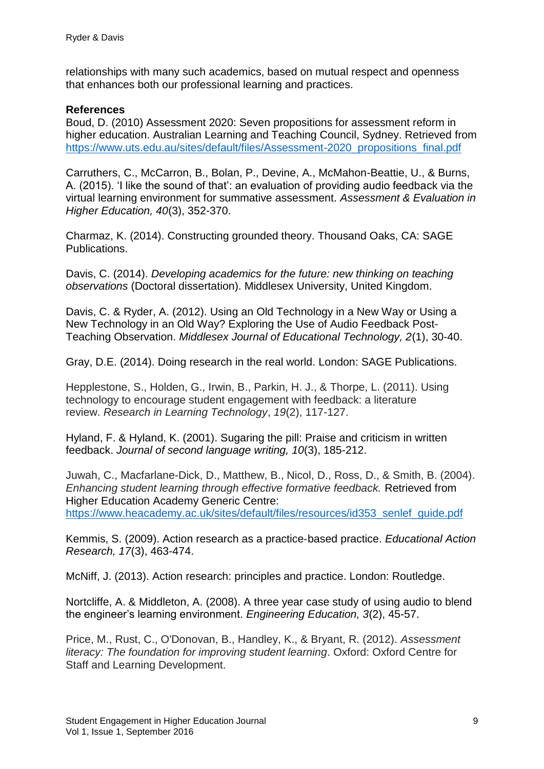relationships with many such academics, based on mutual respect and openness that enhances both our professional learning and practices.

## **References**

Boud, D. (2010) Assessment 2020: Seven propositions for assessment reform in higher education. Australian Learning and Teaching Council, Sydney. Retrieved from [https://www.uts.edu.au/sites/default/files/Assessment-2020\\_propositions\\_final.pdf](https://www.uts.edu.au/sites/default/files/Assessment-2020_propositions_final.pdf)

Carruthers, C., McCarron, B., Bolan, P., Devine, A., McMahon-Beattie, U., & Burns, A. (2015). 'I like the sound of that': an evaluation of providing audio feedback via the virtual learning environment for summative assessment. *Assessment & Evaluation in Higher Education, 40*(3), 352-370.

Charmaz, K. (2014). Constructing grounded theory. Thousand Oaks, CA: SAGE Publications.

Davis, C. (2014). *Developing academics for the future: new thinking on teaching observations* (Doctoral dissertation). Middlesex University, United Kingdom.

Davis, C. & Ryder, A. (2012). Using an Old Technology in a New Way or Using a New Technology in an Old Way? Exploring the Use of Audio Feedback Post-Teaching Observation. *Middlesex Journal of Educational Technology, 2*(1), 30-40.

Gray, D.E. (2014). Doing research in the real world. London: SAGE Publications.

Hepplestone, S., Holden, G., Irwin, B., Parkin, H. J., & Thorpe, L. (2011). Using technology to encourage student engagement with feedback: a literature review. *Research in Learning Technology*, *19*(2), 117-127.

Hyland, F. & Hyland, K. (2001). Sugaring the pill: Praise and criticism in written feedback. *Journal of second language writing, 10*(3), 185-212.

Juwah, C., Macfarlane-Dick, D., Matthew, B., Nicol, D., Ross, D., & Smith, B. (2004). *Enhancing student learning through effective formative feedback.* Retrieved from Higher Education Academy Generic Centre: [https://www.heacademy.ac.uk/sites/default/files/resources/id353\\_senlef\\_guide.pdf](https://www.heacademy.ac.uk/sites/default/files/resources/id353_senlef_guide.pdf)

Kemmis, S. (2009). Action research as a practice‐based practice. *Educational Action Research, 17*(3), 463-474.

McNiff, J. (2013). Action research: principles and practice. London: Routledge.

Nortcliffe, A. & Middleton, A. (2008). A three year case study of using audio to blend the engineer's learning environment. *Engineering Education, 3*(2), 45-57.

Price, M., Rust, C., O'Donovan, B., Handley, K., & Bryant, R. (2012). *Assessment literacy: The foundation for improving student learning*. Oxford: Oxford Centre for Staff and Learning Development.